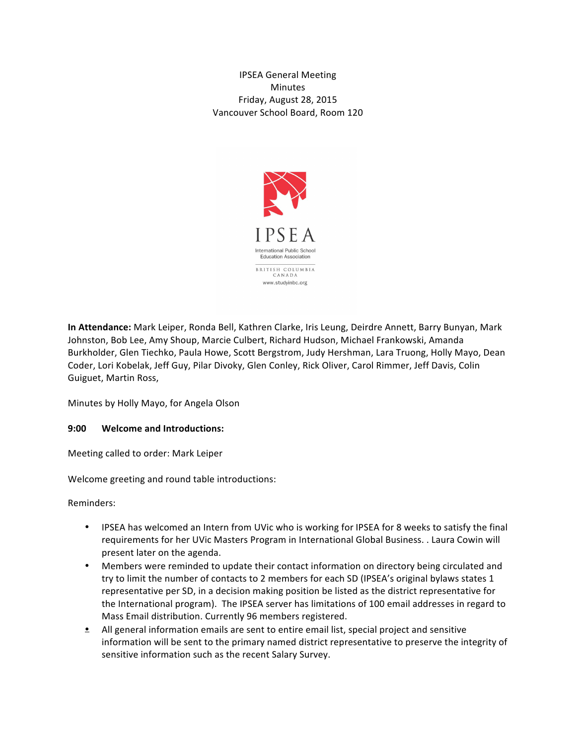IPSEA General Meeting **Minutes** Friday, August 28, 2015 Vancouver School Board, Room 120



**In Attendance:** Mark Leiper, Ronda Bell, Kathren Clarke, Iris Leung, Deirdre Annett, Barry Bunyan, Mark Johnston, Bob Lee, Amy Shoup, Marcie Culbert, Richard Hudson, Michael Frankowski, Amanda Burkholder, Glen Tiechko, Paula Howe, Scott Bergstrom, Judy Hershman, Lara Truong, Holly Mayo, Dean Coder, Lori Kobelak, Jeff Guy, Pilar Divoky, Glen Conley, Rick Oliver, Carol Rimmer, Jeff Davis, Colin Guiguet, Martin Ross,

Minutes by Holly Mayo, for Angela Olson

#### **9:00 • Welcome and Introductions:**

Meeting called to order: Mark Leiper

Welcome greeting and round table introductions:

Reminders:

- IPSEA has welcomed an Intern from UVic who is working for IPSEA for 8 weeks to satisfy the final requirements for her UVic Masters Program in International Global Business. . Laura Cowin will present later on the agenda.
- Members were reminded to update their contact information on directory being circulated and try to limit the number of contacts to 2 members for each SD (IPSEA's original bylaws states 1 representative per SD, in a decision making position be listed as the district representative for the International program). The IPSEA server has limitations of 100 email addresses in regard to Mass Email distribution. Currently 96 members registered.
- $\bullet$  All general information emails are sent to entire email list, special project and sensitive information will be sent to the primary named district representative to preserve the integrity of sensitive information such as the recent Salary Survey.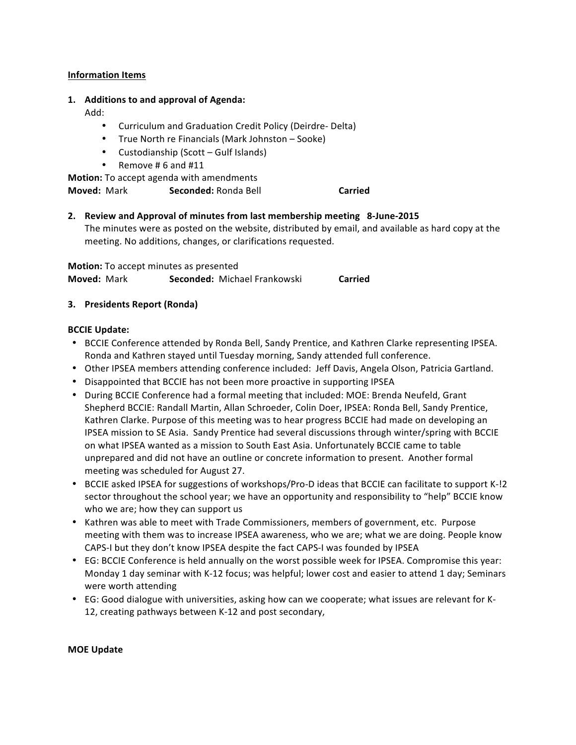# **Information Items**

#### 1. **Additions to and approval of Agenda:**

Add:&

- Curriculum and Graduation Credit Policy (Deirdre- Delta)
- True North re Financials (Mark Johnston Sooke)
- Custodianship (Scott  $-$  Gulf Islands)
- Remove #6 and  $#11$

**Motion:** To accept agenda with amendments

**Moved: Mark <b>Seconded:** Ronda Bell **Carried** 

# **2.** Review and Approval of minutes from last membership meeting 8-June-2015

The minutes were as posted on the website, distributed by email, and available as hard copy at the meeting. No additions, changes, or clarifications requested.

**Motion:** To accept minutes as presented **Moved: Mark Seconded: Michael Frankowski Carried** 

# **3. Presidents#Report (Ronda)**

#### **BCCIE Update:**

- BCCIE Conference attended by Ronda Bell, Sandy Prentice, and Kathren Clarke representing IPSEA. Ronda and Kathren stayed until Tuesday morning, Sandy attended full conference.
- Other IPSEA members attending conference included: Jeff Davis, Angela Olson, Patricia Gartland.
- Disappointed that BCCIE has not been more proactive in supporting IPSEA
- During BCCIE Conference had a formal meeting that included: MOE: Brenda Neufeld, Grant Shepherd BCCIE: Randall Martin, Allan Schroeder, Colin Doer, IPSEA: Ronda Bell, Sandy Prentice, Kathren Clarke. Purpose of this meeting was to hear progress BCCIE had made on developing an IPSEA mission to SE Asia. Sandy Prentice had several discussions through winter/spring with BCCIE on what IPSEA wanted as a mission to South East Asia. Unfortunately BCCIE came to table unprepared and did not have an outline or concrete information to present. Another formal meeting was scheduled for August 27.
- BCCIE asked IPSEA for suggestions of workshops/Pro-D ideas that BCCIE can facilitate to support K-!2 sector throughout the school year; we have an opportunity and responsibility to "help" BCCIE know who we are; how they can support us
- Kathren was able to meet with Trade Commissioners, members of government, etc. Purpose meeting with them was to increase IPSEA awareness, who we are; what we are doing. People know CAPS-I but they don't know IPSEA despite the fact CAPS-I was founded by IPSEA
- EG: BCCIE Conference is held annually on the worst possible week for IPSEA. Compromise this year: Monday 1 day seminar with K-12 focus; was helpful; lower cost and easier to attend 1 day; Seminars were worth attending
- EG: Good dialogue with universities, asking how can we cooperate; what issues are relevant for K-12, creating pathways between K-12 and post secondary,

#### **MOE Update**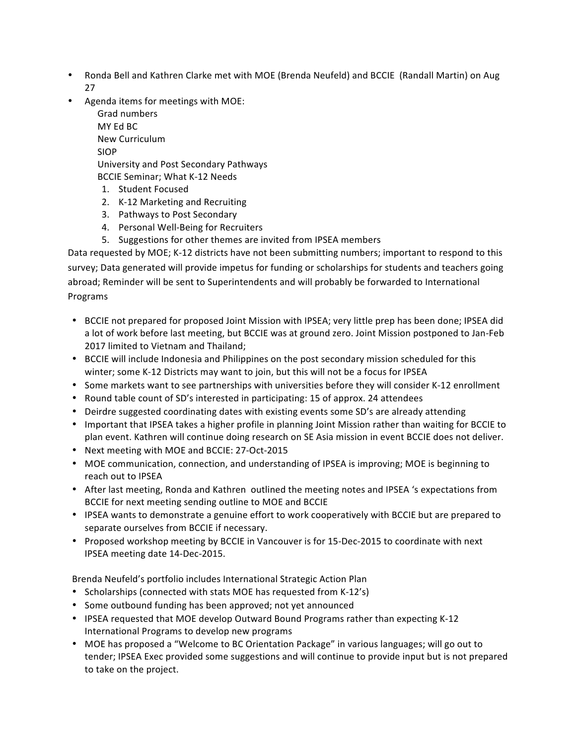- Ronda Bell and Kathren Clarke met with MOE (Brenda Neufeld) and BCCIE (Randall Martin) on Aug 27
- Agenda items for meetings with MOE:

Grad numbers MY Fd BC New Curriculum SIOP University and Post Secondary Pathways BCCIE Seminar; What K-12 Needs

- 1. Student Focused
- 2. K-12 Marketing and Recruiting
- 3. Pathways to Post Secondary
- 4. Personal Well-Being for Recruiters
- 5. Suggestions for other themes are invited from IPSEA members

Data requested by MOE; K-12 districts have not been submitting numbers; important to respond to this survey; Data generated will provide impetus for funding or scholarships for students and teachers going abroad; Reminder will be sent to Superintendents and will probably be forwarded to International Programs

- BCCIE not prepared for proposed Joint Mission with IPSEA; very little prep has been done; IPSEA did a lot of work before last meeting, but BCCIE was at ground zero. Joint Mission postponed to Jan-Feb 2017 limited to Vietnam and Thailand;
- BCCIE will include Indonesia and Philippines on the post secondary mission scheduled for this winter; some K-12 Districts may want to join, but this will not be a focus for IPSEA
- Some markets want to see partnerships with universities before they will consider K-12 enrollment
- Round table count of SD's interested in participating: 15 of approx. 24 attendees
- Deirdre suggested coordinating dates with existing events some SD's are already attending
- Important that IPSEA takes a higher profile in planning Joint Mission rather than waiting for BCCIE to plan event. Kathren will continue doing research on SE Asia mission in event BCCIE does not deliver.
- Next meeting with MOE and BCCIE: 27-Oct-2015
- MOE communication, connection, and understanding of IPSEA is improving; MOE is beginning to reach out to IPSEA
- After last meeting, Ronda and Kathren outlined the meeting notes and IPSEA 's expectations from BCCIE for next meeting sending outline to MOE and BCCIE
- IPSEA wants to demonstrate a genuine effort to work cooperatively with BCCIE but are prepared to separate ourselves from BCCIE if necessary.
- Proposed workshop meeting by BCCIE in Vancouver is for 15-Dec-2015 to coordinate with next IPSEA meeting date 14-Dec-2015.

Brenda Neufeld's portfolio includes International Strategic Action Plan

- Scholarships (connected with stats MOE has requested from K-12's)
- Some outbound funding has been approved; not yet announced
- IPSEA requested that MOE develop Outward Bound Programs rather than expecting K-12 International Programs to develop new programs
- MOE has proposed a "Welcome to BC Orientation Package" in various languages; will go out to tender; IPSEA Exec provided some suggestions and will continue to provide input but is not prepared to take on the project.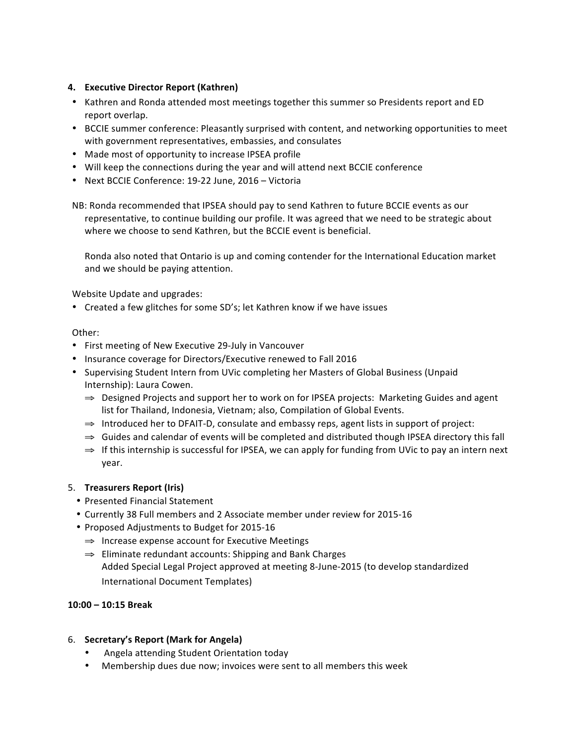# **4. Executive Director Report (Kathren)**

- Kathren and Ronda attended most meetings together this summer so Presidents report and ED report overlap.
- BCCIE summer conference: Pleasantly surprised with content, and networking opportunities to meet with government representatives, embassies, and consulates
- Made most of opportunity to increase IPSEA profile
- Will keep the connections during the year and will attend next BCCIE conference
- Next BCCIE Conference: 19-22 June, 2016 Victoria

NB: Ronda recommended that IPSEA should pay to send Kathren to future BCCIE events as our representative, to continue building our profile. It was agreed that we need to be strategic about where we choose to send Kathren, but the BCCIE event is beneficial.

Ronda also noted that Ontario is up and coming contender for the International Education market and we should be paying attention.

Website Update and upgrades:

• Created a few glitches for some SD's; let Kathren know if we have issues

#### Other:

- First meeting of New Executive 29-July in Vancouver
- Insurance coverage for Directors/Executive renewed to Fall 2016
- Supervising Student Intern from UVic completing her Masters of Global Business (Unpaid Internship): Laura Cowen.
	- ⇒ Designed Projects and support her to work on for IPSEA projects: Marketing Guides and agent list for Thailand, Indonesia, Vietnam; also, Compilation of Global Events.
	- $\Rightarrow$  Introduced her to DFAIT-D, consulate and embassy reps, agent lists in support of project:
	- $\Rightarrow$  Guides and calendar of events will be completed and distributed though IPSEA directory this fall
	- $\Rightarrow$  If this internship is successful for IPSEA, we can apply for funding from UVic to pay an intern next year.

# 5. **Treasurers Report (Iris)**

- Presented Financial Statement
- Currently 38 Full members and 2 Associate member under review for 2015-16
- Proposed Adjustments to Budget for 2015-16
	- $\Rightarrow$  Increase expense account for Executive Meetings
	- ⇒ Eliminate redundant accounts: Shipping and Bank Charges Added Special Legal Project approved at meeting 8-June-2015 (to develop standardized International Document Templates)

# **10:00#– 10:15#Break**

# 6. **Secretary's Report (Mark for Angela)**

- Angela attending Student Orientation today
- Membership dues due now; invoices were sent to all members this week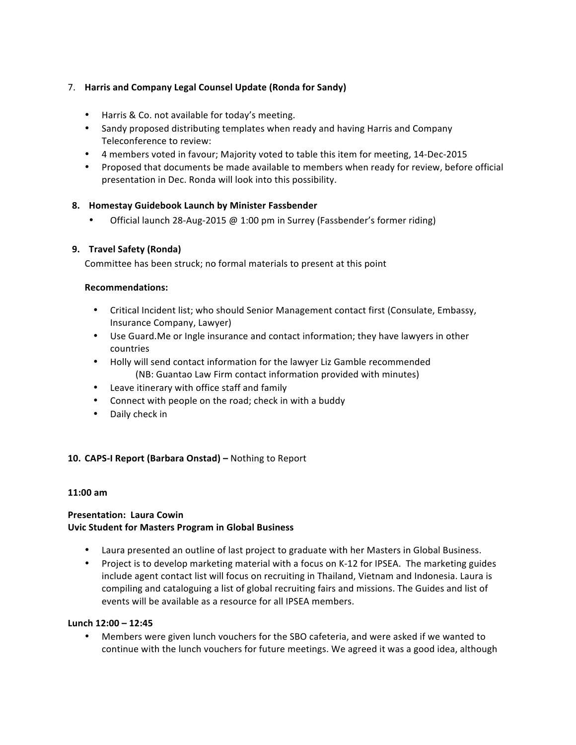# 7. **Harris and Company Legal Counsel Update (Ronda for Sandy)**

- Harris & Co. not available for today's meeting.
- Sandy proposed distributing templates when ready and having Harris and Company Teleconference to review:
- 4 members voted in favour; Majority voted to table this item for meeting, 14-Dec-2015
- Proposed that documents be made available to members when ready for review, before official presentation in Dec. Ronda will look into this possibility.

# 8. **Homestay Guidebook Launch by Minister Fassbender**

Official launch 28-Aug-2015  $@$  1:00 pm in Surrey (Fassbender's former riding)

# **9. Travel#Safety (Ronda)**

Committee has been struck; no formal materials to present at this point

# **Recommendations:**

- Critical Incident list; who should Senior Management contact first (Consulate, Embassy, Insurance Company, Lawyer)
- Use Guard.Me or Ingle insurance and contact information; they have lawyers in other countries
- Holly will send contact information for the lawyer Liz Gamble recommended (NB: Guantao Law Firm contact information provided with minutes)
- Leave itinerary with office staff and family
- Connect with people on the road; check in with a buddy
- Daily check in

# **10. CAPS-I Report (Barbara Onstad) –** Nothing to Report

#### **11:00 am**

# **Presentation: Laura Cowin Uvic Student for Masters Program in Global Business**

- Laura presented an outline of last project to graduate with her Masters in Global Business.
- Project is to develop marketing material with a focus on K-12 for IPSEA. The marketing guides include agent contact list will focus on recruiting in Thailand, Vietnam and Indonesia. Laura is compiling and cataloguing a list of global recruiting fairs and missions. The Guides and list of events will be available as a resource for all IPSEA members.

# Lunch 12:00 – 12:45

Members were given lunch vouchers for the SBO cafeteria, and were asked if we wanted to continue with the lunch vouchers for future meetings. We agreed it was a good idea, although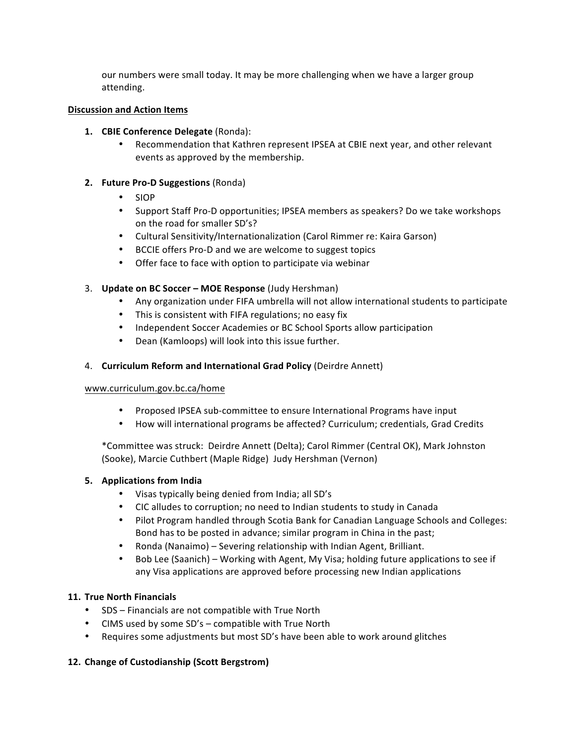our numbers were small today. It may be more challenging when we have a larger group attending.

#### **Discussion and Action Items**

- **1. CBIE Conference Delegate** (Ronda):
	- Recommendation that Kathren represent IPSEA at CBIE next year, and other relevant events as approved by the membership.

#### **2. Future Pro-D Suggestions** (Ronda)

- SIOP
- Support Staff Pro-D opportunities; IPSEA members as speakers? Do we take workshops on the road for smaller SD's?
- Cultural Sensitivity/Internationalization (Carol Rimmer re: Kaira Garson)
- BCCIE offers Pro-D and we are welcome to suggest topics
- Offer face to face with option to participate via webinar

# 3. **Update on BC Soccer – MOE Response** (Judy Hershman)

- Any organization under FIFA umbrella will not allow international students to participate
- This is consistent with FIFA regulations; no easy fix
- Independent Soccer Academies or BC School Sports allow participation
- Dean (Kamloops) will look into this issue further.

# 4. **Curriculum Reform and International Grad Policy (Deirdre Annett)**

# www.curriculum.gov.bc.ca/home

- Proposed IPSEA sub-committee to ensure International Programs have input
- How will international programs be affected? Curriculum; credentials, Grad Credits

\*Committee was struck: Deirdre Annett (Delta); Carol Rimmer (Central OK), Mark Johnston (Sooke), Marcie Cuthbert (Maple Ridge) Judy Hershman (Vernon)

# **5.** Applications from India

- Visas typically being denied from India; all SD's
- CIC alludes to corruption; no need to Indian students to study in Canada
- Pilot Program handled through Scotia Bank for Canadian Language Schools and Colleges: Bond has to be posted in advance; similar program in China in the past;
- Ronda (Nanaimo) Severing relationship with Indian Agent, Brilliant.
- Bob Lee (Saanich) Working with Agent, My Visa; holding future applications to see if any Visa applications are approved before processing new Indian applications

# **11. True North Financials**

- SDS Financials are not compatible with True North
- CIMS used by some  $SD's$  compatible with True North
- Requires some adjustments but most SD's have been able to work around glitches

# 12. Change of Custodianship (Scott Bergstrom)